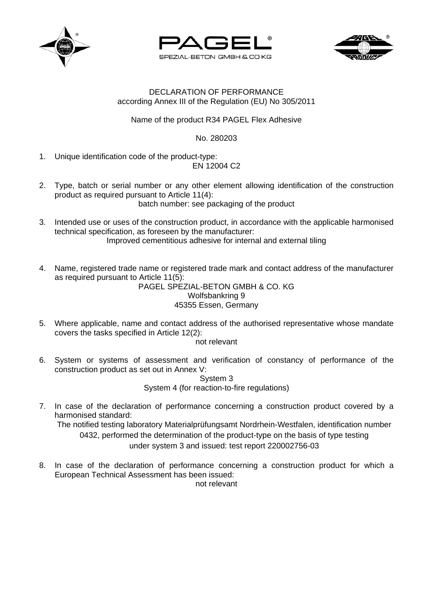





## DECLARATION OF PERFORMANCE according Annex III of the Regulation (EU) No 305/2011

Name of the product R34 PAGEL Flex Adhesive

No. 280203

1. Unique identification code of the product-type:

EN 12004 C2

- 2. Type, batch or serial number or any other element allowing identification of the construction product as required pursuant to Article 11(4): batch number: see packaging of the product
- 3. Intended use or uses of the construction product, in accordance with the applicable harmonised technical specification, as foreseen by the manufacturer: Improved cementitious adhesive for internal and external tiling

4. Name, registered trade name or registered trade mark and contact address of the manufacturer as required pursuant to Article 11(5):

PAGEL SPEZIAL-BETON GMBH & CO. KG Wolfsbankring 9 45355 Essen, Germany

5. Where applicable, name and contact address of the authorised representative whose mandate covers the tasks specified in Article 12(2):

not relevant

6. System or systems of assessment and verification of constancy of performance of the construction product as set out in Annex V:

System 3 System 4 (for reaction-to-fire regulations)

7. In case of the declaration of performance concerning a construction product covered by a harmonised standard: The notified testing laboratory Materialprüfungsamt Nordrhein-Westfalen, identification number 0432, performed the determination of the product-type on the basis of type testing

under system 3 and issued: test report 220002756-03

8. In case of the declaration of performance concerning a construction product for which a European Technical Assessment has been issued:

not relevant